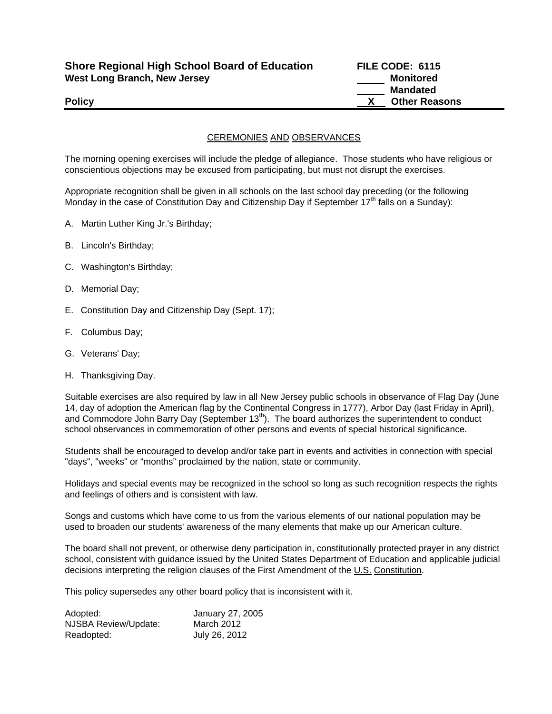| <b>Shore Regional High School Board of Education</b> | FILE CODE: 6115      |
|------------------------------------------------------|----------------------|
| <b>West Long Branch, New Jersey</b>                  | Monitored            |
|                                                      | Mandated             |
| <b>Policy</b>                                        | <b>Other Reasons</b> |

## CEREMONIES AND OBSERVANCES

The morning opening exercises will include the pledge of allegiance. Those students who have religious or conscientious objections may be excused from participating, but must not disrupt the exercises.

Appropriate recognition shall be given in all schools on the last school day preceding (or the following Monday in the case of Constitution Day and Citizenship Day if September 17<sup>th</sup> falls on a Sunday):

- A. Martin Luther King Jr.'s Birthday;
- B. Lincoln's Birthday;
- C. Washington's Birthday;
- D. Memorial Day;
- E. Constitution Day and Citizenship Day (Sept. 17);
- F. Columbus Day;
- G. Veterans' Day;
- H. Thanksgiving Day.

Suitable exercises are also required by law in all New Jersey public schools in observance of Flag Day (June 14, day of adoption the American flag by the Continental Congress in 1777), Arbor Day (last Friday in April), and Commodore John Barry Day (September 13<sup>th</sup>). The board authorizes the superintendent to conduct school observances in commemoration of other persons and events of special historical significance.

Students shall be encouraged to develop and/or take part in events and activities in connection with special "days", "weeks" or "months" proclaimed by the nation, state or community.

Holidays and special events may be recognized in the school so long as such recognition respects the rights and feelings of others and is consistent with law.

Songs and customs which have come to us from the various elements of our national population may be used to broaden our students' awareness of the many elements that make up our American culture.

The board shall not prevent, or otherwise deny participation in, constitutionally protected prayer in any district school, consistent with guidance issued by the United States Department of Education and applicable judicial decisions interpreting the religion clauses of the First Amendment of the U.S. Constitution.

This policy supersedes any other board policy that is inconsistent with it.

| Adopted:             | January 27, 2005 |
|----------------------|------------------|
| NJSBA Review/Update: | March 2012       |
| Readopted:           | July 26, 2012    |